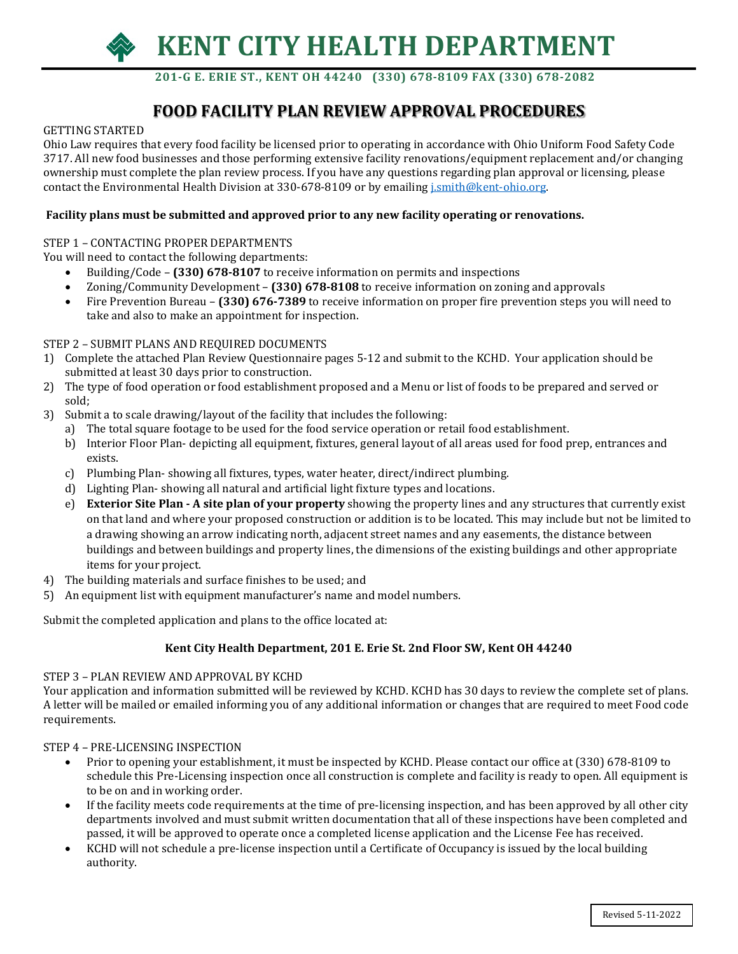

 **201-G E. ERIE ST., KENT OH 44240 (330) 678-8109 FAX (330) 678-2082**

### **FOOD FACILITY PLAN REVIEW APPROVAL PROCEDURES**

#### GETTING STARTED

Ohio Law requires that every food facility be licensed prior to operating in accordance with Ohio Uniform Food Safety Code 3717. All new food businesses and those performing extensive facility renovations/equipment replacement and/or changing ownership must complete the plan review process. If you have any questions regarding plan approval or licensing, please contact the Environmental Health Division at 330-678-8109 or by emailin[g j.smith@kent-ohio.org.](mailto:j.smith@kent-ohio.org)

### **Facility plans must be submitted and approved prior to any new facility operating or renovations.**

### STEP 1 – CONTACTING PROPER DEPARTMENTS

You will need to contact the following departments:

- Building/Code **(330) 678-8107** to receive information on permits and inspections
- Zoning/Community Development **(330) 678-8108** to receive information on zoning and approvals
- Fire Prevention Bureau **(330) 676-7389** to receive information on proper fire prevention steps you will need to take and also to make an appointment for inspection.

### STEP 2 – SUBMIT PLANS AND REQUIRED DOCUMENTS

- 1) Complete the attached Plan Review Questionnaire pages 5-12 and submit to the KCHD. Your application should be submitted at least 30 days prior to construction.
- 2) The type of food operation or food establishment proposed and a Menu or list of foods to be prepared and served or sold;
- 3) Submit a to scale drawing/layout of the facility that includes the following:
	- a) The total square footage to be used for the food service operation or retail food establishment.
		- b) Interior Floor Plan- depicting all equipment, fixtures, general layout of all areas used for food prep, entrances and exists.
		- c) Plumbing Plan- showing all fixtures, types, water heater, direct/indirect plumbing.
		- d) Lighting Plan- showing all natural and artificial light fixture types and locations.
		- e) **Exterior Site Plan A site plan of your property** showing the property lines and any structures that currently exist on that land and where your proposed construction or addition is to be located. This may include but not be limited to a drawing showing an arrow indicating north, adjacent street names and any easements, the distance between buildings and between buildings and property lines, the dimensions of the existing buildings and other appropriate items for your project.
- 4) The building materials and surface finishes to be used; and
- 5) An equipment list with equipment manufacturer's name and model numbers.

Submit the completed application and plans to the office located at:

### **Kent City Health Department, 201 E. Erie St. 2nd Floor SW, Kent OH 44240**

### STEP 3 – PLAN REVIEW AND APPROVAL BY KCHD

Your application and information submitted will be reviewed by KCHD. KCHD has 30 days to review the complete set of plans. A letter will be mailed or emailed informing you of any additional information or changes that are required to meet Food code requirements.

### STEP 4 – PRE-LICENSING INSPECTION

- Prior to opening your establishment, it must be inspected by KCHD. Please contact our office at (330) 678-8109 to schedule this Pre-Licensing inspection once all construction is complete and facility is ready to open. All equipment is to be on and in working order.
- If the facility meets code requirements at the time of pre-licensing inspection, and has been approved by all other city departments involved and must submit written documentation that all of these inspections have been completed and passed, it will be approved to operate once a completed license application and the License Fee has received.
- KCHD will not schedule a pre-license inspection until a Certificate of Occupancy is issued by the local building authority.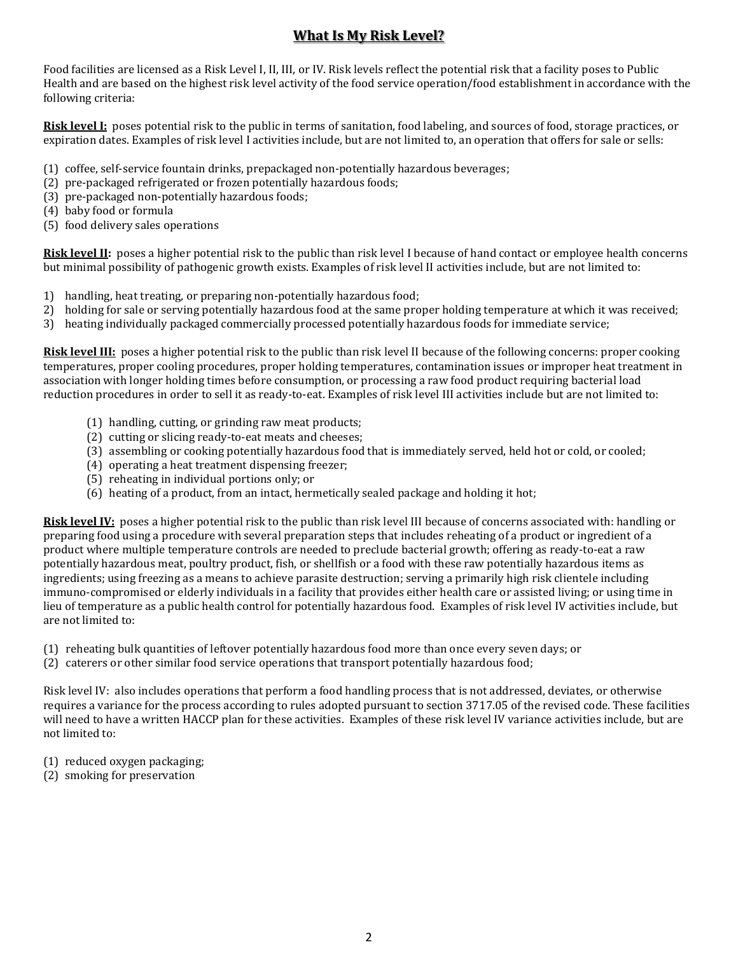### **What Is My Risk Level?**

Food facilities are licensed as a Risk Level I, II, III, or IV. Risk levels reflect the potential risk that a facility poses to Public Health and are based on the highest risk level activity of the food service operation/food establishment in accordance with the following criteria:

**Risk level I:** poses potential risk to the public in terms of sanitation, food labeling, and sources of food, storage practices, or expiration dates. Examples of risk level I activities include, but are not limited to, an operation that offers for sale or sells:

- (1) coffee, self-service fountain drinks, prepackaged non-potentially hazardous beverages;
- (2) pre-packaged refrigerated or frozen potentially hazardous foods;
- (3) pre-packaged non-potentially hazardous foods;
- (4) baby food or formula
- (5) food delivery sales operations

**Risk level II:** poses a higher potential risk to the public than risk level I because of hand contact or employee health concerns but minimal possibility of pathogenic growth exists. Examples of risk level II activities include, but are not limited to:

- 1) handling, heat treating, or preparing non-potentially hazardous food;
- 2) holding for sale or serving potentially hazardous food at the same proper holding temperature at which it was received;
- 3) heating individually packaged commercially processed potentially hazardous foods for immediate service;

**Risk level III:** poses a higher potential risk to the public than risk level II because of the following concerns: proper cooking temperatures, proper cooling procedures, proper holding temperatures, contamination issues or improper heat treatment in association with longer holding times before consumption, or processing a raw food product requiring bacterial load reduction procedures in order to sell it as ready-to-eat. Examples of risk level III activities include but are not limited to:

- (1) handling, cutting, or grinding raw meat products;
- (2) cutting or slicing ready-to-eat meats and cheeses;
- (3) assembling or cooking potentially hazardous food that is immediately served, held hot or cold, or cooled;
- (4) operating a heat treatment dispensing freezer;
- (5) reheating in individual portions only; or
- (6) heating of a product, from an intact, hermetically sealed package and holding it hot;

**Risk level IV:** poses a higher potential risk to the public than risk level III because of concerns associated with: handling or preparing food using a procedure with several preparation steps that includes reheating of a product or ingredient of a product where multiple temperature controls are needed to preclude bacterial growth; offering as ready-to-eat a raw potentially hazardous meat, poultry product, fish, or shellfish or a food with these raw potentially hazardous items as ingredients; using freezing as a means to achieve parasite destruction; serving a primarily high risk clientele including immuno-compromised or elderly individuals in a facility that provides either health care or assisted living; or using time in lieu of temperature as a public health control for potentially hazardous food. Examples of risk level IV activities include, but are not limited to:

- (1) reheating bulk quantities of leftover potentially hazardous food more than once every seven days; or
- (2) caterers or other similar food service operations that transport potentially hazardous food;

Risk level IV: also includes operations that perform a food handling process that is not addressed, deviates, or otherwise requires a variance for the process according to rules adopted pursuant to section 3717.05 of the revised code. These facilities will need to have a written HACCP plan for these activities. Examples of these risk level IV variance activities include, but are not limited to:

- (1) reduced oxygen packaging;
- (2) smoking for preservation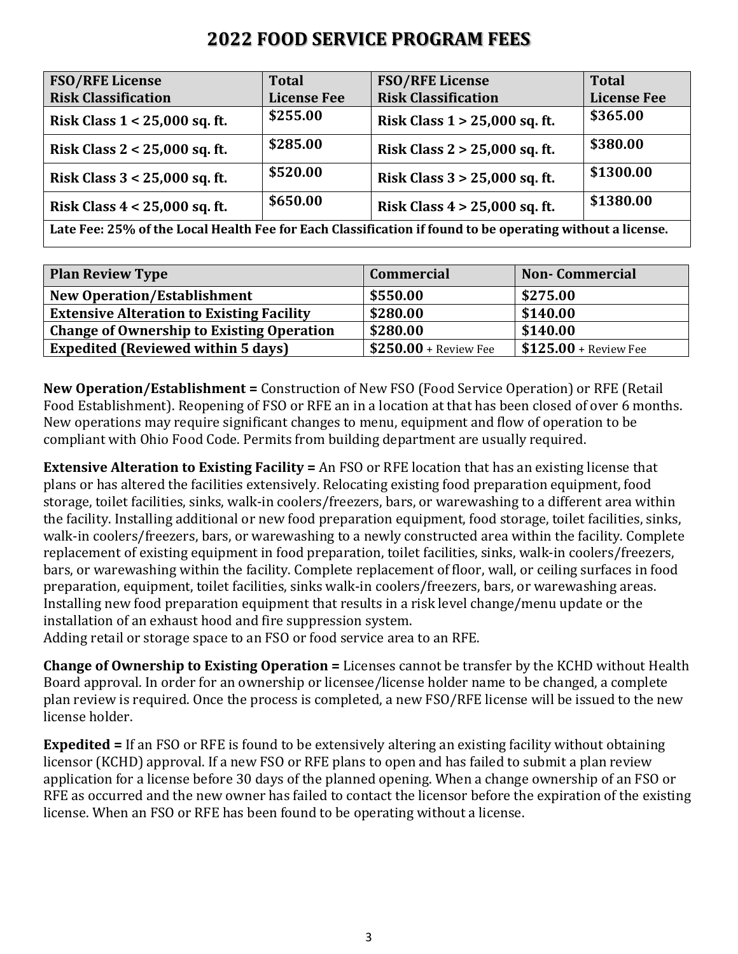### **2022 FOOD SERVICE PROGRAM FEES**

| <b>FSO/RFE License</b>                                                                                    | <b>Total</b>       | <b>FSO/RFE License</b>          | <b>Total</b>       |  |
|-----------------------------------------------------------------------------------------------------------|--------------------|---------------------------------|--------------------|--|
| <b>Risk Classification</b>                                                                                | <b>License Fee</b> | <b>Risk Classification</b>      | <b>License Fee</b> |  |
| Risk Class $1 < 25,000$ sq. ft.                                                                           | \$255.00           | Risk Class $1 > 25,000$ sq. ft. | \$365.00           |  |
| Risk Class $2 < 25,000$ sq. ft.                                                                           | \$285.00           | Risk Class $2 > 25,000$ sq. ft. | \$380.00           |  |
| Risk Class $3 < 25,000$ sq. ft.                                                                           | \$520.00           | Risk Class $3 > 25,000$ sq. ft. | \$1300.00          |  |
| Risk Class $4 < 25,000$ sq. ft.                                                                           | \$650.00           | Risk Class $4 > 25,000$ sq. ft. | \$1380.00          |  |
| Late Fee: 25% of the Local Health Fee for Each Classification if found to be operating without a license. |                    |                                 |                    |  |

| <b>Plan Review Type</b>                          | <b>Commercial</b>      | <b>Non-Commercial</b>         |
|--------------------------------------------------|------------------------|-------------------------------|
| <b>New Operation/Establishment</b>               | \$550.00               | \$275.00                      |
| <b>Extensive Alteration to Existing Facility</b> | \$280.00               | \$140.00                      |
| <b>Change of Ownership to Existing Operation</b> | \$280.00               | \$140.00                      |
| <b>Expedited (Reviewed within 5 days)</b>        | $$250.00 +$ Review Fee | $\vert$ \$125.00 + Review Fee |

**New Operation/Establishment =** Construction of New FSO (Food Service Operation) or RFE (Retail Food Establishment). Reopening of FSO or RFE an in a location at that has been closed of over 6 months. New operations may require significant changes to menu, equipment and flow of operation to be compliant with Ohio Food Code. Permits from building department are usually required.

**Extensive Alteration to Existing Facility =** An FSO or RFE location that has an existing license that plans or has altered the facilities extensively. Relocating existing food preparation equipment, food storage, toilet facilities, sinks, walk-in coolers/freezers, bars, or warewashing to a different area within the facility. Installing additional or new food preparation equipment, food storage, toilet facilities, sinks, walk-in coolers/freezers, bars, or warewashing to a newly constructed area within the facility. Complete replacement of existing equipment in food preparation, toilet facilities, sinks, walk-in coolers/freezers, bars, or warewashing within the facility. Complete replacement of floor, wall, or ceiling surfaces in food preparation, equipment, toilet facilities, sinks walk-in coolers/freezers, bars, or warewashing areas. Installing new food preparation equipment that results in a risk level change/menu update or the installation of an exhaust hood and fire suppression system.

Adding retail or storage space to an FSO or food service area to an RFE.

**Change of Ownership to Existing Operation =** Licenses cannot be transfer by the KCHD without Health Board approval. In order for an ownership or licensee/license holder name to be changed, a complete plan review is required. Once the process is completed, a new FSO/RFE license will be issued to the new license holder.

**Expedited =** If an FSO or RFE is found to be extensively altering an existing facility without obtaining licensor (KCHD) approval. If a new FSO or RFE plans to open and has failed to submit a plan review application for a license before 30 days of the planned opening. When a change ownership of an FSO or RFE as occurred and the new owner has failed to contact the licensor before the expiration of the existing license. When an FSO or RFE has been found to be operating without a license.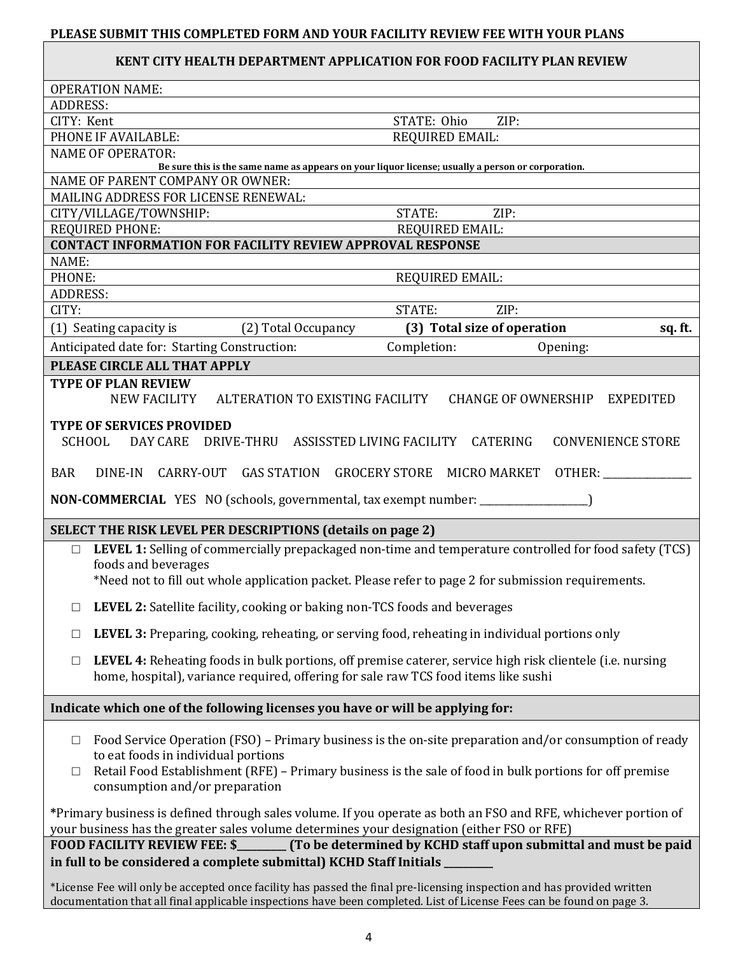### **PLEASE SUBMIT THIS COMPLETED FORM AND YOUR FACILITY REVIEW FEE WITH YOUR PLANS**

### **KENT CITY HEALTH DEPARTMENT APPLICATION FOR FOOD FACILITY PLAN REVIEW**

|                 | <b>OPERATION NAME:</b>                                                                                                                                                                                       |
|-----------------|--------------------------------------------------------------------------------------------------------------------------------------------------------------------------------------------------------------|
| <b>ADDRESS:</b> |                                                                                                                                                                                                              |
| CITY: Kent      | STATE: Ohio<br>ZIP:                                                                                                                                                                                          |
|                 | PHONE IF AVAILABLE:<br>REQUIRED EMAIL:<br><b>NAME OF OPERATOR:</b>                                                                                                                                           |
|                 | Be sure this is the same name as appears on your liquor license; usually a person or corporation.                                                                                                            |
|                 | NAME OF PARENT COMPANY OR OWNER:                                                                                                                                                                             |
|                 | MAILING ADDRESS FOR LICENSE RENEWAL:                                                                                                                                                                         |
|                 | STATE:<br>ZIP:<br>CITY/VILLAGE/TOWNSHIP:                                                                                                                                                                     |
|                 | <b>REQUIRED PHONE:</b><br><b>REQUIRED EMAIL:</b>                                                                                                                                                             |
|                 | <b>CONTACT INFORMATION FOR FACILITY REVIEW APPROVAL RESPONSE</b>                                                                                                                                             |
| NAME:<br>PHONE: | REQUIRED EMAIL:                                                                                                                                                                                              |
| <b>ADDRESS:</b> |                                                                                                                                                                                                              |
| CITY:           | STATE:<br>ZIP:                                                                                                                                                                                               |
|                 | (3) Total size of operation<br>(1) Seating capacity is (2) Total Occupancy<br>sq. ft.                                                                                                                        |
|                 | Anticipated date for: Starting Construction:<br>Completion:<br>Opening:                                                                                                                                      |
|                 | PLEASE CIRCLE ALL THAT APPLY                                                                                                                                                                                 |
|                 | <b>TYPE OF PLAN REVIEW</b>                                                                                                                                                                                   |
|                 | ALTERATION TO EXISTING FACILITY<br><b>NEW FACILITY</b><br>CHANGE OF OWNERSHIP EXPEDITED                                                                                                                      |
|                 | <b>TYPE OF SERVICES PROVIDED</b>                                                                                                                                                                             |
|                 | <b>SCHOOL</b><br>DAY CARE<br>DRIVE-THRU ASSISSTED LIVING FACILITY CATERING<br><b>CONVENIENCE STORE</b>                                                                                                       |
| <b>BAR</b>      | CARRY-OUT GAS STATION GROCERY STORE MICRO MARKET OTHER:<br>DINE-IN                                                                                                                                           |
|                 | NON-COMMERCIAL YES NO (schools, governmental, tax exempt number: ______________                                                                                                                              |
|                 | SELECT THE RISK LEVEL PER DESCRIPTIONS (details on page 2)                                                                                                                                                   |
| $\Box$          | LEVEL 1: Selling of commercially prepackaged non-time and temperature controlled for food safety (TCS)                                                                                                       |
|                 | foods and beverages                                                                                                                                                                                          |
|                 | *Need not to fill out whole application packet. Please refer to page 2 for submission requirements.                                                                                                          |
|                 | $\Box$ LEVEL 2: Satellite facility, cooking or baking non-TCS foods and beverages                                                                                                                            |
| $\Box$          | <b>LEVEL 3:</b> Preparing, cooking, reheating, or serving food, reheating in individual portions only                                                                                                        |
| $\Box$          | LEVEL 4: Reheating foods in bulk portions, off premise caterer, service high risk clientele (i.e. nursing                                                                                                    |
|                 | home, hospital), variance required, offering for sale raw TCS food items like sushi                                                                                                                          |
|                 | Indicate which one of the following licenses you have or will be applying for:                                                                                                                               |
| $\Box$          | Food Service Operation (FSO) – Primary business is the on-site preparation and/or consumption of ready                                                                                                       |
|                 | to eat foods in individual portions                                                                                                                                                                          |
| □               | Retail Food Establishment (RFE) – Primary business is the sale of food in bulk portions for off premise                                                                                                      |
|                 | consumption and/or preparation                                                                                                                                                                               |
|                 |                                                                                                                                                                                                              |
|                 | *Primary business is defined through sales volume. If you operate as both an FSO and RFE, whichever portion of<br>your business has the greater sales volume determines your designation (either FSO or RFE) |
|                 | <b>FOOD FACILITY REVIEW FEE: \$</b><br>(To be determined by KCHD staff upon submittal and must be paid                                                                                                       |
|                 | in full to be considered a complete submittal) KCHD Staff Initials                                                                                                                                           |
|                 | *License Fee will only be accepted once facility has passed the final pre-licensing inspection and has provided written                                                                                      |
|                 | documentation that all final applicable inspections have been completed. List of License Fees can be found on page 3.                                                                                        |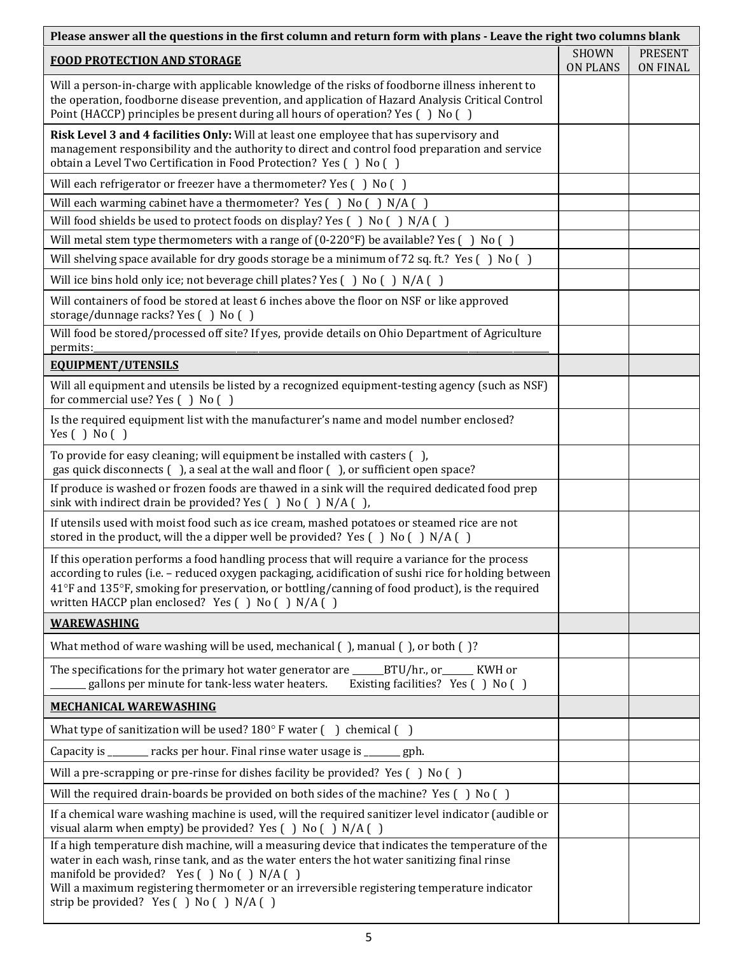| Please answer all the questions in the first column and return form with plans - Leave the right two columns blank                                                                                                                                                                                                                                                                         |                                 |                                   |  |  |  |
|--------------------------------------------------------------------------------------------------------------------------------------------------------------------------------------------------------------------------------------------------------------------------------------------------------------------------------------------------------------------------------------------|---------------------------------|-----------------------------------|--|--|--|
| <b>FOOD PROTECTION AND STORAGE</b>                                                                                                                                                                                                                                                                                                                                                         | <b>SHOWN</b><br><b>ON PLANS</b> | <b>PRESENT</b><br><b>ON FINAL</b> |  |  |  |
| Will a person-in-charge with applicable knowledge of the risks of foodborne illness inherent to<br>the operation, foodborne disease prevention, and application of Hazard Analysis Critical Control<br>Point (HACCP) principles be present during all hours of operation? Yes () No ()                                                                                                     |                                 |                                   |  |  |  |
| Risk Level 3 and 4 facilities Only: Will at least one employee that has supervisory and<br>management responsibility and the authority to direct and control food preparation and service<br>obtain a Level Two Certification in Food Protection? Yes () No ()                                                                                                                             |                                 |                                   |  |  |  |
| Will each refrigerator or freezer have a thermometer? Yes () No ()                                                                                                                                                                                                                                                                                                                         |                                 |                                   |  |  |  |
| Will each warming cabinet have a thermometer? Yes $( )$ No $( )$ N/A $( )$                                                                                                                                                                                                                                                                                                                 |                                 |                                   |  |  |  |
| Will food shields be used to protect foods on display? Yes () No () N/A ()                                                                                                                                                                                                                                                                                                                 |                                 |                                   |  |  |  |
| Will metal stem type thermometers with a range of $(0-220\text{°F})$ be available? Yes $( )$ No $( )$                                                                                                                                                                                                                                                                                      |                                 |                                   |  |  |  |
| Will shelving space available for dry goods storage be a minimum of 72 sq. ft.? Yes $( )$ No $( )$                                                                                                                                                                                                                                                                                         |                                 |                                   |  |  |  |
| Will ice bins hold only ice; not beverage chill plates? Yes () No () N/A ()                                                                                                                                                                                                                                                                                                                |                                 |                                   |  |  |  |
| Will containers of food be stored at least 6 inches above the floor on NSF or like approved<br>storage/dunnage racks? Yes () No ()                                                                                                                                                                                                                                                         |                                 |                                   |  |  |  |
| Will food be stored/processed off site? If yes, provide details on Ohio Department of Agriculture<br>permits:                                                                                                                                                                                                                                                                              |                                 |                                   |  |  |  |
| <b>EQUIPMENT/UTENSILS</b>                                                                                                                                                                                                                                                                                                                                                                  |                                 |                                   |  |  |  |
| Will all equipment and utensils be listed by a recognized equipment-testing agency (such as NSF)<br>for commercial use? Yes () No ()                                                                                                                                                                                                                                                       |                                 |                                   |  |  |  |
| Is the required equipment list with the manufacturer's name and model number enclosed?<br>Yes $( )$ No $( )$                                                                                                                                                                                                                                                                               |                                 |                                   |  |  |  |
| To provide for easy cleaning; will equipment be installed with casters (),<br>gas quick disconnects (), a seal at the wall and floor (), or sufficient open space?                                                                                                                                                                                                                         |                                 |                                   |  |  |  |
| If produce is washed or frozen foods are thawed in a sink will the required dedicated food prep<br>sink with indirect drain be provided? Yes () No () N/A (),                                                                                                                                                                                                                              |                                 |                                   |  |  |  |
| If utensils used with moist food such as ice cream, mashed potatoes or steamed rice are not<br>stored in the product, will the a dipper well be provided? Yes $( )$ No $( )$ N/A $( )$                                                                                                                                                                                                     |                                 |                                   |  |  |  |
| If this operation performs a food handling process that will require a variance for the process<br>according to rules (i.e. - reduced oxygen packaging, acidification of sushi rice for holding between<br>41°F and 135°F, smoking for preservation, or bottling/canning of food product), is the required<br>written HACCP plan enclosed? Yes () No () N/A ()                             |                                 |                                   |  |  |  |
| <b>WAREWASHING</b>                                                                                                                                                                                                                                                                                                                                                                         |                                 |                                   |  |  |  |
| What method of ware washing will be used, mechanical (), manual (), or both ()?                                                                                                                                                                                                                                                                                                            |                                 |                                   |  |  |  |
| The specifications for the primary hot water generator are ______BTU/hr., or ______ KWH or<br>gallons per minute for tank-less water heaters.<br>Existing facilities? Yes () No ()                                                                                                                                                                                                         |                                 |                                   |  |  |  |
| <b>MECHANICAL WAREWASHING</b>                                                                                                                                                                                                                                                                                                                                                              |                                 |                                   |  |  |  |
| What type of sanitization will be used? $180^\circ$ F water () chemical ()                                                                                                                                                                                                                                                                                                                 |                                 |                                   |  |  |  |
| Capacity is _______ racks per hour. Final rinse water usage is ______ gph.                                                                                                                                                                                                                                                                                                                 |                                 |                                   |  |  |  |
| Will a pre-scrapping or pre-rinse for dishes facility be provided? Yes () No ()                                                                                                                                                                                                                                                                                                            |                                 |                                   |  |  |  |
| Will the required drain-boards be provided on both sides of the machine? Yes () No ()                                                                                                                                                                                                                                                                                                      |                                 |                                   |  |  |  |
| If a chemical ware washing machine is used, will the required sanitizer level indicator (audible or<br>visual alarm when empty) be provided? Yes () No () N/A ()                                                                                                                                                                                                                           |                                 |                                   |  |  |  |
| If a high temperature dish machine, will a measuring device that indicates the temperature of the<br>water in each wash, rinse tank, and as the water enters the hot water sanitizing final rinse<br>manifold be provided? Yes () No () N/A ()<br>Will a maximum registering thermometer or an irreversible registering temperature indicator<br>strip be provided? Yes ( ) No ( ) N/A ( ) |                                 |                                   |  |  |  |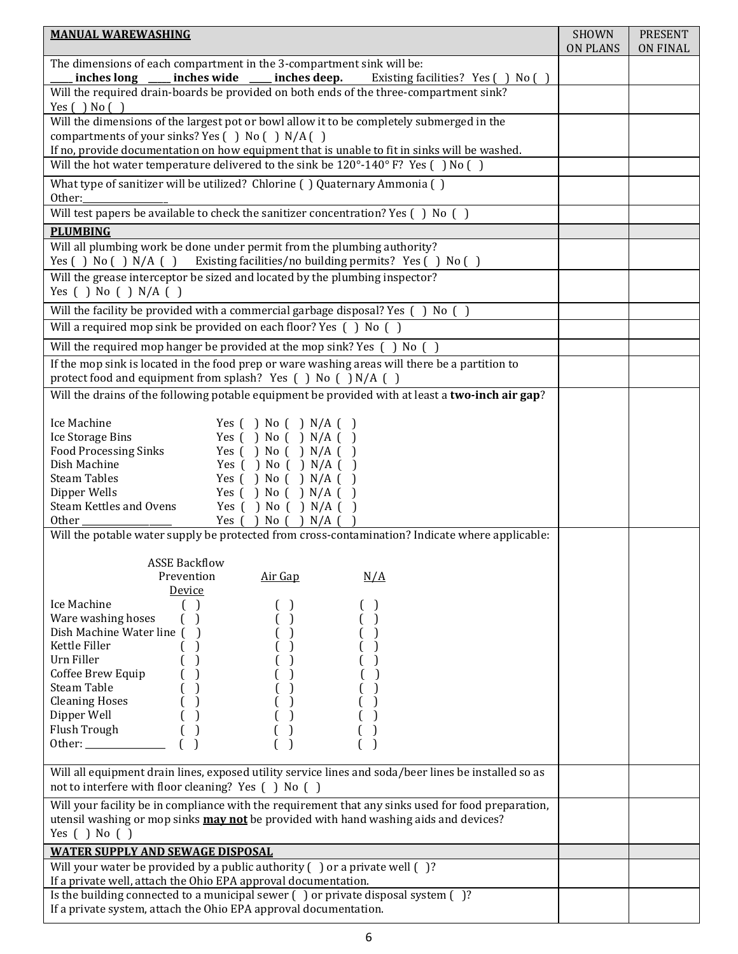| <b>MANUAL WAREWASHING</b>                                                                                                                                                         | <b>SHOWN</b><br><b>ON PLANS</b> | <b>PRESENT</b><br><b>ON FINAL</b> |
|-----------------------------------------------------------------------------------------------------------------------------------------------------------------------------------|---------------------------------|-----------------------------------|
| The dimensions of each compartment in the 3-compartment sink will be:<br>inches long ____ inches wide ____ inches deep.                                                           |                                 |                                   |
| Existing facilities? Yes () No ()<br>Will the required drain-boards be provided on both ends of the three-compartment sink?                                                       |                                 |                                   |
| Yes $( )$ No $( )$<br>Will the dimensions of the largest pot or bowl allow it to be completely submerged in the                                                                   |                                 |                                   |
| compartments of your sinks? Yes () No () N/A ()                                                                                                                                   |                                 |                                   |
| If no, provide documentation on how equipment that is unable to fit in sinks will be washed.<br>Will the hot water temperature delivered to the sink be 120°-140° F? Yes () No () |                                 |                                   |
| What type of sanitizer will be utilized? Chlorine () Quaternary Ammonia ()                                                                                                        |                                 |                                   |
| Other:                                                                                                                                                                            |                                 |                                   |
| Will test papers be available to check the sanitizer concentration? Yes () No ()                                                                                                  |                                 |                                   |
| <b>PLUMBING</b>                                                                                                                                                                   |                                 |                                   |
| Will all plumbing work be done under permit from the plumbing authority?<br>Yes () No () N/A () Existing facilities/no building permits? Yes () No ()                             |                                 |                                   |
| Will the grease interceptor be sized and located by the plumbing inspector?                                                                                                       |                                 |                                   |
| Yes $( )$ No $( )$ N/A $( )$                                                                                                                                                      |                                 |                                   |
| Will the facility be provided with a commercial garbage disposal? Yes () No ()                                                                                                    |                                 |                                   |
| Will a required mop sink be provided on each floor? Yes $( )$ No $( )$                                                                                                            |                                 |                                   |
| Will the required mop hanger be provided at the mop sink? Yes () No ()                                                                                                            |                                 |                                   |
| If the mop sink is located in the food prep or ware washing areas will there be a partition to<br>protect food and equipment from splash? Yes () No () N/A ()                     |                                 |                                   |
| Will the drains of the following potable equipment be provided with at least a two-inch air gap?                                                                                  |                                 |                                   |
| Ice Machine<br>Yes $( )$ No $( )$ N/A $( )$                                                                                                                                       |                                 |                                   |
| Ice Storage Bins<br>Yes $( )$ No $( )$ N/A $( )$                                                                                                                                  |                                 |                                   |
| <b>Food Processing Sinks</b><br>Yes $( )$ No $( )$ N/A $( )$                                                                                                                      |                                 |                                   |
| Dish Machine<br>Yes $( )$ No $( )$ N/A $( )$<br><b>Steam Tables</b>                                                                                                               |                                 |                                   |
| Yes $( )$ No $( )$ N/A $( )$<br>Dipper Wells<br>Yes $( )$ No $( )$ N/A $( )$                                                                                                      |                                 |                                   |
| Steam Kettles and Ovens<br>Yes $( )$ No $( )$ N/A $( )$                                                                                                                           |                                 |                                   |
| Other<br>Yes $( )$ No $( )$ N/A $( )$                                                                                                                                             |                                 |                                   |
| Will the potable water supply be protected from cross-contamination? Indicate where applicable:                                                                                   |                                 |                                   |
| <b>ASSE Backflow</b>                                                                                                                                                              |                                 |                                   |
| Prevention<br>Air Gap<br>N/A                                                                                                                                                      |                                 |                                   |
| Device                                                                                                                                                                            |                                 |                                   |
| Ice Machine                                                                                                                                                                       |                                 |                                   |
| Ware washing hoses<br>$\mathcal{L}$<br>Dish Machine Water line ()<br>$\big)$                                                                                                      |                                 |                                   |
| Kettle Filler                                                                                                                                                                     |                                 |                                   |
| Urn Filler                                                                                                                                                                        |                                 |                                   |
| Coffee Brew Equip                                                                                                                                                                 |                                 |                                   |
| Steam Table                                                                                                                                                                       |                                 |                                   |
| <b>Cleaning Hoses</b><br>$\left( \quad \right)$                                                                                                                                   |                                 |                                   |
| Dipper Well<br>( )<br>Flush Trough<br>$\left( \quad \right)$                                                                                                                      |                                 |                                   |
| Other: $\frac{1}{\sqrt{1-\frac{1}{2}}}\left\{ \frac{1}{2}, \frac{1}{2}, \frac{1}{2}, \frac{1}{2}\right\}$                                                                         |                                 |                                   |
|                                                                                                                                                                                   |                                 |                                   |
| Will all equipment drain lines, exposed utility service lines and soda/beer lines be installed so as<br>not to interfere with floor cleaning? Yes () No ()                        |                                 |                                   |
| Will your facility be in compliance with the requirement that any sinks used for food preparation,                                                                                |                                 |                                   |
| utensil washing or mop sinks <b>may not</b> be provided with hand washing aids and devices?<br>Yes $( )$ No $( )$                                                                 |                                 |                                   |
| <b>WATER SUPPLY AND SEWAGE DISPOSAL</b>                                                                                                                                           |                                 |                                   |
| Will your water be provided by a public authority $( )$ or a private well $( )$ ?                                                                                                 |                                 |                                   |
| If a private well, attach the Ohio EPA approval documentation.                                                                                                                    |                                 |                                   |
| Is the building connected to a municipal sewer () or private disposal system ()?                                                                                                  |                                 |                                   |
| If a private system, attach the Ohio EPA approval documentation.                                                                                                                  |                                 |                                   |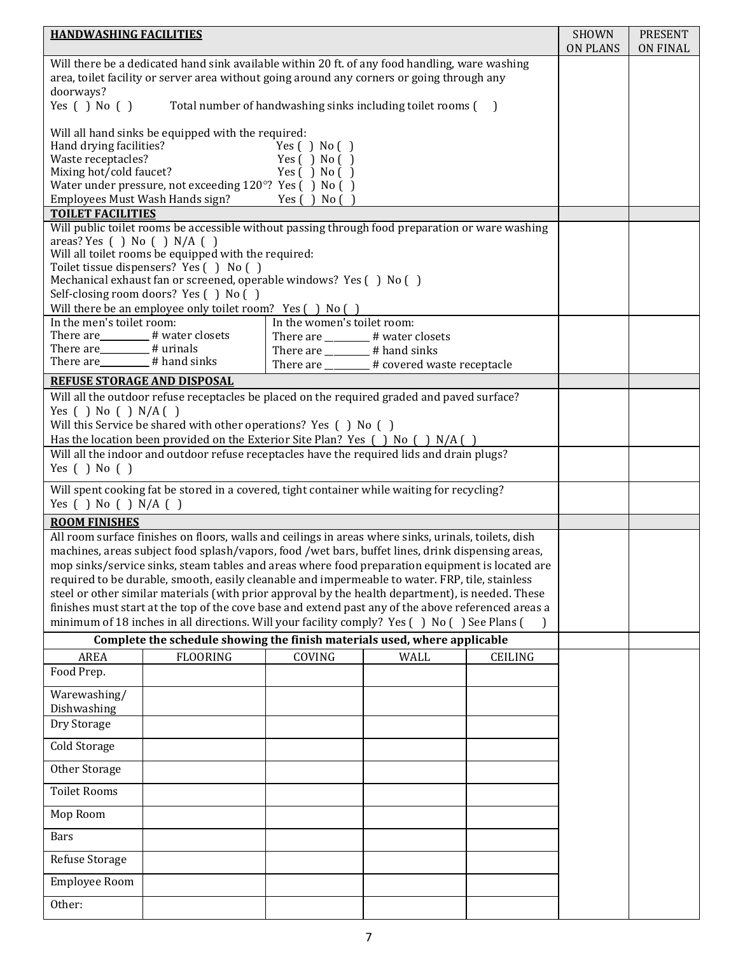| <b>HANDWASHING FACILITIES</b>                                                               |                                                                                                      |                                   |                                                             |                | <b>SHOWN</b><br><b>ON PLANS</b> | <b>PRESENT</b><br><b>ON FINAL</b> |
|---------------------------------------------------------------------------------------------|------------------------------------------------------------------------------------------------------|-----------------------------------|-------------------------------------------------------------|----------------|---------------------------------|-----------------------------------|
|                                                                                             | Will there be a dedicated hand sink available within 20 ft. of any food handling, ware washing       |                                   |                                                             |                |                                 |                                   |
|                                                                                             | area, toilet facility or server area without going around any corners or going through any           |                                   |                                                             |                |                                 |                                   |
| doorways?                                                                                   |                                                                                                      |                                   |                                                             |                |                                 |                                   |
| Yes $( )$ No $( )$                                                                          |                                                                                                      |                                   | Total number of handwashing sinks including toilet rooms () |                |                                 |                                   |
|                                                                                             | Will all hand sinks be equipped with the required:                                                   |                                   |                                                             |                |                                 |                                   |
| Hand drying facilities?                                                                     |                                                                                                      | Yes $( )$ No $( )$                |                                                             |                |                                 |                                   |
| Waste receptacles?                                                                          |                                                                                                      | Yes $( )$ No $( )$                |                                                             |                |                                 |                                   |
| Mixing hot/cold faucet?                                                                     |                                                                                                      | Yes $( )$ No $( )$                |                                                             |                |                                 |                                   |
| Water under pressure, not exceeding 120°? Yes () No ()                                      |                                                                                                      |                                   |                                                             |                |                                 |                                   |
| Employees Must Wash Hands sign?<br>Yes $( )$ No $( )$                                       |                                                                                                      |                                   |                                                             |                |                                 |                                   |
| <b>TOILET FACILITIES</b>                                                                    |                                                                                                      |                                   |                                                             |                |                                 |                                   |
|                                                                                             | Will public toilet rooms be accessible without passing through food preparation or ware washing      |                                   |                                                             |                |                                 |                                   |
| areas? Yes $( )$ No $( )$ N/A $( )$                                                         | Will all toilet rooms be equipped with the required:                                                 |                                   |                                                             |                |                                 |                                   |
|                                                                                             | Toilet tissue dispensers? Yes () No ()                                                               |                                   |                                                             |                |                                 |                                   |
|                                                                                             | Mechanical exhaust fan or screened, operable windows? Yes () No ()                                   |                                   |                                                             |                |                                 |                                   |
|                                                                                             | Self-closing room doors? Yes () No ()                                                                |                                   |                                                             |                |                                 |                                   |
|                                                                                             | Will there be an employee only toilet room? Yes () No ()                                             |                                   |                                                             |                |                                 |                                   |
| In the men's toilet room:                                                                   |                                                                                                      | In the women's toilet room:       |                                                             |                |                                 |                                   |
| There are________# water closets                                                            |                                                                                                      | There are ________# water closets |                                                             |                |                                 |                                   |
| There are_______# urinals                                                                   |                                                                                                      | There are _______# hand sinks     |                                                             |                |                                 |                                   |
| There are ________ # hand sinks                                                             |                                                                                                      |                                   | There are _______ # covered waste receptacle                |                |                                 |                                   |
| <b>REFUSE STORAGE AND DISPOSAL</b>                                                          |                                                                                                      |                                   |                                                             |                |                                 |                                   |
|                                                                                             | Will all the outdoor refuse receptacles be placed on the required graded and paved surface?          |                                   |                                                             |                |                                 |                                   |
| Yes $( )$ No $( )$ N/A $( )$                                                                |                                                                                                      |                                   |                                                             |                |                                 |                                   |
|                                                                                             | Will this Service be shared with other operations? Yes () No ()                                      |                                   |                                                             |                |                                 |                                   |
|                                                                                             | Has the location been provided on the Exterior Site Plan? Yes () No () N/A ()                        |                                   |                                                             |                |                                 |                                   |
|                                                                                             | Will all the indoor and outdoor refuse receptacles have the required lids and drain plugs?           |                                   |                                                             |                |                                 |                                   |
| Yes $( )$ No $( )$                                                                          |                                                                                                      |                                   |                                                             |                |                                 |                                   |
| Will spent cooking fat be stored in a covered, tight container while waiting for recycling? |                                                                                                      |                                   |                                                             |                |                                 |                                   |
| Yes $( )$ No $( )$ N/A $( )$                                                                |                                                                                                      |                                   |                                                             |                |                                 |                                   |
| <b>ROOM FINISHES</b>                                                                        |                                                                                                      |                                   |                                                             |                |                                 |                                   |
|                                                                                             | All room surface finishes on floors, walls and ceilings in areas where sinks, urinals, toilets, dish |                                   |                                                             |                |                                 |                                   |
|                                                                                             | machines, areas subject food splash/vapors, food /wet bars, buffet lines, drink dispensing areas,    |                                   |                                                             |                |                                 |                                   |
|                                                                                             | mop sinks/service sinks, steam tables and areas where food preparation equipment is located are      |                                   |                                                             |                |                                 |                                   |
|                                                                                             | required to be durable, smooth, easily cleanable and impermeable to water. FRP, tile, stainless      |                                   |                                                             |                |                                 |                                   |
|                                                                                             | steel or other similar materials (with prior approval by the health department), is needed. These    |                                   |                                                             |                |                                 |                                   |
|                                                                                             | finishes must start at the top of the cove base and extend past any of the above referenced areas a  |                                   |                                                             |                |                                 |                                   |
|                                                                                             | minimum of 18 inches in all directions. Will your facility comply? Yes () No () See Plans (          |                                   |                                                             |                |                                 |                                   |
|                                                                                             | Complete the schedule showing the finish materials used, where applicable                            |                                   |                                                             |                |                                 |                                   |
| <b>AREA</b>                                                                                 | <b>FLOORING</b>                                                                                      | COVING                            | <b>WALL</b>                                                 | <b>CEILING</b> |                                 |                                   |
| Food Prep.                                                                                  |                                                                                                      |                                   |                                                             |                |                                 |                                   |
| Warewashing/                                                                                |                                                                                                      |                                   |                                                             |                |                                 |                                   |
| Dishwashing                                                                                 |                                                                                                      |                                   |                                                             |                |                                 |                                   |
| Dry Storage                                                                                 |                                                                                                      |                                   |                                                             |                |                                 |                                   |
|                                                                                             |                                                                                                      |                                   |                                                             |                |                                 |                                   |
| Cold Storage                                                                                |                                                                                                      |                                   |                                                             |                |                                 |                                   |
| Other Storage                                                                               |                                                                                                      |                                   |                                                             |                |                                 |                                   |
| <b>Toilet Rooms</b>                                                                         |                                                                                                      |                                   |                                                             |                |                                 |                                   |
| Mop Room                                                                                    |                                                                                                      |                                   |                                                             |                |                                 |                                   |
| <b>Bars</b>                                                                                 |                                                                                                      |                                   |                                                             |                |                                 |                                   |
| Refuse Storage<br>Employee Room                                                             |                                                                                                      |                                   |                                                             |                |                                 |                                   |
| Other:                                                                                      |                                                                                                      |                                   |                                                             |                |                                 |                                   |
|                                                                                             |                                                                                                      |                                   |                                                             |                |                                 |                                   |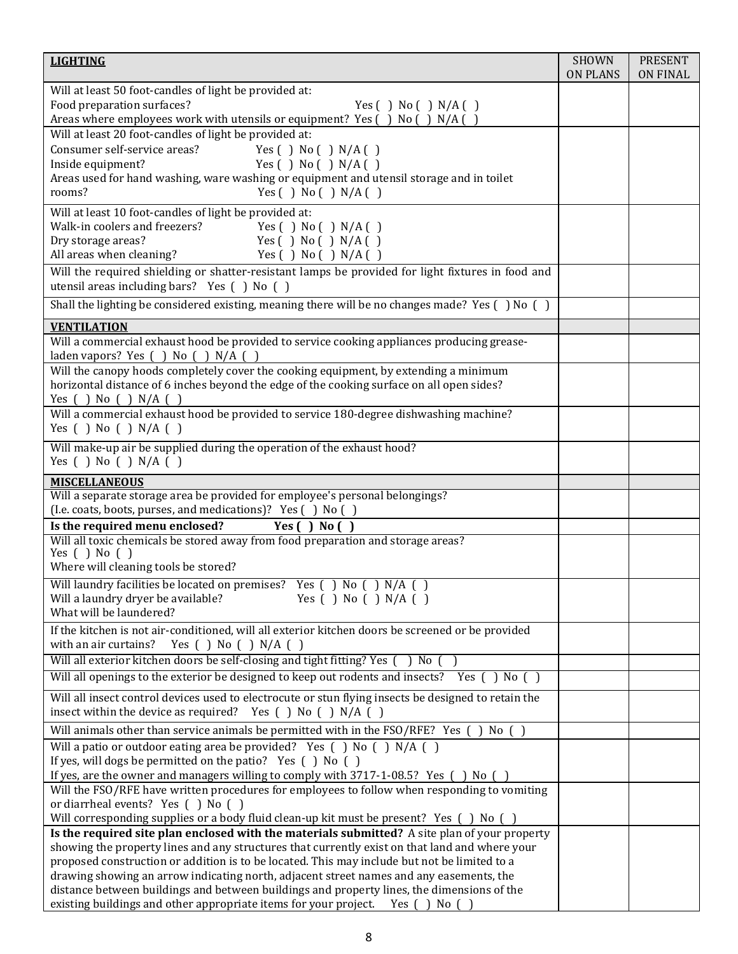| <b>LIGHTING</b>                                                                                                                                                                                                                           | <b>SHOWN</b><br><b>ON PLANS</b> | <b>PRESENT</b><br><b>ON FINAL</b> |
|-------------------------------------------------------------------------------------------------------------------------------------------------------------------------------------------------------------------------------------------|---------------------------------|-----------------------------------|
| Will at least 50 foot-candles of light be provided at:<br>Food preparation surfaces?<br>Yes $( )$ No $( )$ N/A $( )$<br>Areas where employees work with utensils or equipment? Yes () No () N/A ()                                        |                                 |                                   |
| Will at least 20 foot-candles of light be provided at:<br>Consumer self-service areas?<br>Yes $( )$ No $( )$ N/A $( )$<br>Inside equipment?<br>Yes $( )$ No $( )$ N/A $( )$                                                               |                                 |                                   |
| Areas used for hand washing, ware washing or equipment and utensil storage and in toilet<br>Yes $( )$ No $( )$ N/A $( )$<br>rooms?                                                                                                        |                                 |                                   |
| Will at least 10 foot-candles of light be provided at:<br>Walk-in coolers and freezers?<br>Yes $( )$ No $( )$ N/A $( )$<br>Dry storage areas?<br>Yes $( )$ No $( )$ N/A $( )$<br>All areas when cleaning?<br>Yes $( )$ No $( )$ N/A $( )$ |                                 |                                   |
| Will the required shielding or shatter-resistant lamps be provided for light fixtures in food and<br>utensil areas including bars? Yes () No ()                                                                                           |                                 |                                   |
| Shall the lighting be considered existing, meaning there will be no changes made? Yes $( )$ No $( )$                                                                                                                                      |                                 |                                   |
| <b>VENTILATION</b>                                                                                                                                                                                                                        |                                 |                                   |
| Will a commercial exhaust hood be provided to service cooking appliances producing grease-<br>laden vapors? Yes ( ) No ( ) N/A ( )                                                                                                        |                                 |                                   |
| Will the canopy hoods completely cover the cooking equipment, by extending a minimum<br>horizontal distance of 6 inches beyond the edge of the cooking surface on all open sides?<br>Yes $( )$ No $( )$ N/A $($                           |                                 |                                   |
| Will a commercial exhaust hood be provided to service 180-degree dishwashing machine?<br>Yes $( )$ No $( )$ N/A $( )$                                                                                                                     |                                 |                                   |
| Will make-up air be supplied during the operation of the exhaust hood?<br>Yes $( )$ No $( )$ N/A $( )$                                                                                                                                    |                                 |                                   |
| <b>MISCELLANEOUS</b>                                                                                                                                                                                                                      |                                 |                                   |
| Will a separate storage area be provided for employee's personal belongings?<br>(I.e. coats, boots, purses, and medications)? Yes () No ()                                                                                                |                                 |                                   |
| Is the required menu enclosed?<br>Yes $( )$ No $( )$<br>Will all toxic chemicals be stored away from food preparation and storage areas?                                                                                                  |                                 |                                   |
| Yes $( )$ No $( )$<br>Where will cleaning tools be stored?                                                                                                                                                                                |                                 |                                   |
| Will laundry facilities be located on premises? Yes (<br>$No$ $\Gamma$<br>$N/A$ ()<br>Yes $( )$ No $( )$ N/A $( )$<br>Will a laundry dryer be available?<br>What will be laundered?                                                       |                                 |                                   |
| If the kitchen is not air-conditioned, will all exterior kitchen doors be screened or be provided<br>with an air curtains?<br>Yes ( ) No ( ) N/A ( )                                                                                      |                                 |                                   |
| Will all exterior kitchen doors be self-closing and tight fitting? Yes () No ()                                                                                                                                                           |                                 |                                   |
| Will all openings to the exterior be designed to keep out rodents and insects? Yes $( )$ No $( )$                                                                                                                                         |                                 |                                   |
| Will all insect control devices used to electrocute or stun flying insects be designed to retain the<br>insect within the device as required? Yes $( )$ No $( )$ N/A $( )$                                                                |                                 |                                   |
| Will animals other than service animals be permitted with in the $FSO/REF$ ? Yes () No ()                                                                                                                                                 |                                 |                                   |
| Will a patio or outdoor eating area be provided? Yes () No () N/A ()                                                                                                                                                                      |                                 |                                   |
| If yes, will dogs be permitted on the patio? Yes () No ()<br>If yes, are the owner and managers willing to comply with 3717-1-08.5? Yes () No ()                                                                                          |                                 |                                   |
| Will the FSO/RFE have written procedures for employees to follow when responding to vomiting<br>or diarrheal events? Yes () No ()                                                                                                         |                                 |                                   |
| Will corresponding supplies or a body fluid clean-up kit must be present? Yes () No ()                                                                                                                                                    |                                 |                                   |
| Is the required site plan enclosed with the materials submitted? A site plan of your property<br>showing the property lines and any structures that currently exist on that land and where your                                           |                                 |                                   |
| proposed construction or addition is to be located. This may include but not be limited to a<br>drawing showing an arrow indicating north, adjacent street names and any easements, the                                                   |                                 |                                   |
| distance between buildings and between buildings and property lines, the dimensions of the<br>existing buildings and other appropriate items for your project.<br>Yes $( )$ No $( )$                                                      |                                 |                                   |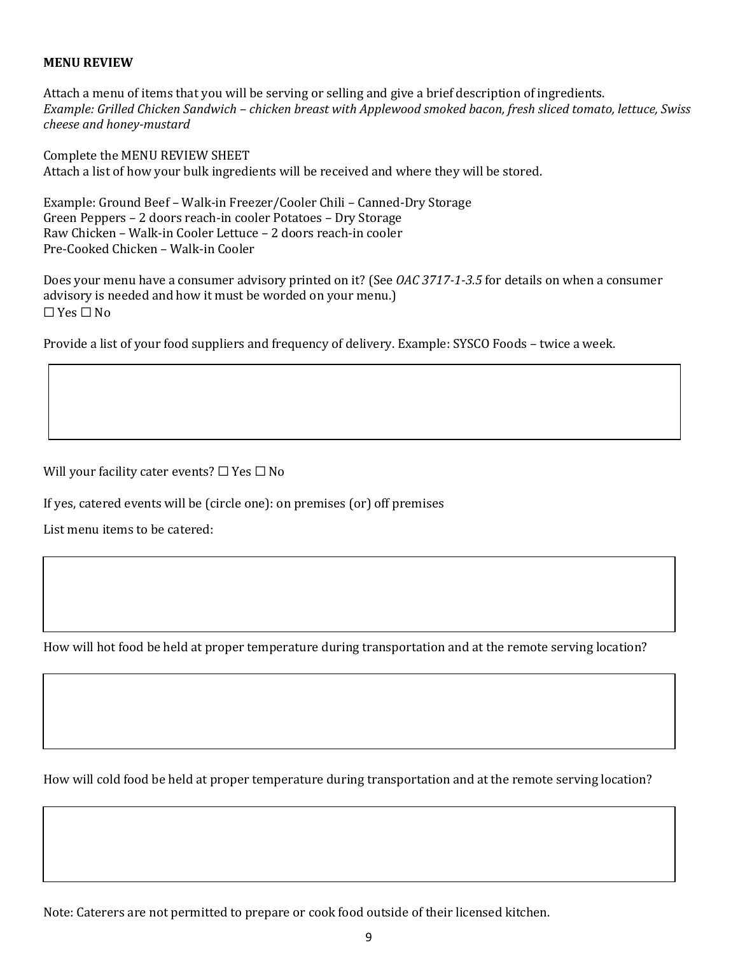### **MENU REVIEW**

Attach a menu of items that you will be serving or selling and give a brief description of ingredients. *Example: Grilled Chicken Sandwich – chicken breast with Applewood smoked bacon, fresh sliced tomato, lettuce, Swiss cheese and honey-mustard* 

Complete the MENU REVIEW SHEET Attach a list of how your bulk ingredients will be received and where they will be stored.

Example: Ground Beef – Walk-in Freezer/Cooler Chili – Canned-Dry Storage Green Peppers – 2 doors reach-in cooler Potatoes – Dry Storage Raw Chicken – Walk-in Cooler Lettuce – 2 doors reach-in cooler Pre-Cooked Chicken – Walk-in Cooler

Does your menu have a consumer advisory printed on it? (See *OAC 3717-1-3.5* for details on when a consumer advisory is needed and how it must be worded on your menu.)  $\Box$  Yes  $\Box$  No

Provide a list of your food suppliers and frequency of delivery. Example: SYSCO Foods – twice a week.

Will your facility cater events?  $\Box$  Yes  $\Box$  No

If yes, catered events will be (circle one): on premises (or) off premises

List menu items to be catered:

How will hot food be held at proper temperature during transportation and at the remote serving location?

How will cold food be held at proper temperature during transportation and at the remote serving location?

Note: Caterers are not permitted to prepare or cook food outside of their licensed kitchen.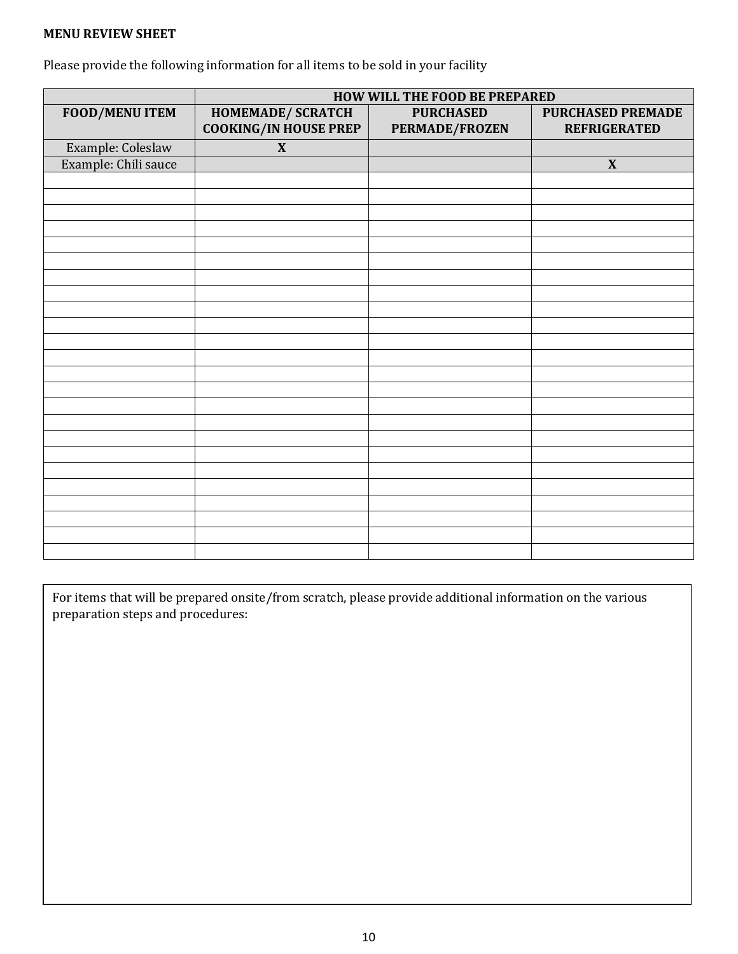### **MENU REVIEW SHEET**

Please provide the following information for all items to be sold in your facility

|                       | HOW WILL THE FOOD BE PREPARED                                            |                       |                     |  |  |
|-----------------------|--------------------------------------------------------------------------|-----------------------|---------------------|--|--|
| <b>FOOD/MENU ITEM</b> | <b>HOMEMADE/ SCRATCH</b><br><b>PURCHASED</b><br><b>PURCHASED PREMADE</b> |                       |                     |  |  |
|                       | <b>COOKING/IN HOUSE PREP</b>                                             | <b>PERMADE/FROZEN</b> | <b>REFRIGERATED</b> |  |  |
| Example: Coleslaw     | $\mathbf{X}$                                                             |                       |                     |  |  |
| Example: Chili sauce  |                                                                          |                       | $\mathbf X$         |  |  |
|                       |                                                                          |                       |                     |  |  |
|                       |                                                                          |                       |                     |  |  |
|                       |                                                                          |                       |                     |  |  |
|                       |                                                                          |                       |                     |  |  |
|                       |                                                                          |                       |                     |  |  |
|                       |                                                                          |                       |                     |  |  |
|                       |                                                                          |                       |                     |  |  |
|                       |                                                                          |                       |                     |  |  |
|                       |                                                                          |                       |                     |  |  |
|                       |                                                                          |                       |                     |  |  |
|                       |                                                                          |                       |                     |  |  |
|                       |                                                                          |                       |                     |  |  |
|                       |                                                                          |                       |                     |  |  |
|                       |                                                                          |                       |                     |  |  |
|                       |                                                                          |                       |                     |  |  |
|                       |                                                                          |                       |                     |  |  |
|                       |                                                                          |                       |                     |  |  |
|                       |                                                                          |                       |                     |  |  |
|                       |                                                                          |                       |                     |  |  |
|                       |                                                                          |                       |                     |  |  |
|                       |                                                                          |                       |                     |  |  |
|                       |                                                                          |                       |                     |  |  |
|                       |                                                                          |                       |                     |  |  |
|                       |                                                                          |                       |                     |  |  |

For items that will be prepared onsite/from scratch, please provide additional information on the various preparation steps and procedures: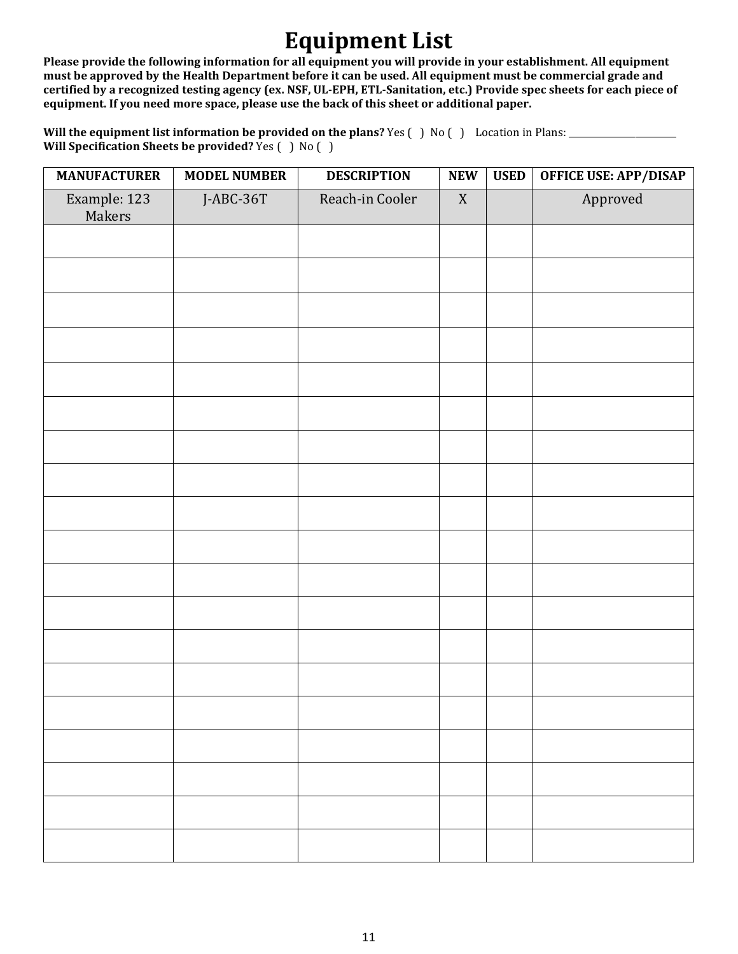## **Equipment List**

**Please provide the following information for all equipment you will provide in your establishment. All equipment must be approved by the Health Department before it can be used. All equipment must be commercial grade and certified by a recognized testing agency (ex. NSF, UL-EPH, ETL-Sanitation, etc.) Provide spec sheets for each piece of equipment. If you need more space, please use the back of this sheet or additional paper.** 

Will the equipment list information be provided on the plans? Yes () No () Location in Plans: \_\_\_\_\_\_\_\_\_\_\_\_\_\_\_\_ **Will Specification Sheets be provided?** Yes ( ) No ( )

| <b>MANUFACTURER</b>    | <b>MODEL NUMBER</b> | <b>DESCRIPTION</b> | ${\bf NEW}$ | <b>USED</b> | <b>OFFICE USE: APP/DISAP</b> |
|------------------------|---------------------|--------------------|-------------|-------------|------------------------------|
| Example: 123<br>Makers | J-ABC-36T           | Reach-in Cooler    | $\mathbf X$ |             | Approved                     |
|                        |                     |                    |             |             |                              |
|                        |                     |                    |             |             |                              |
|                        |                     |                    |             |             |                              |
|                        |                     |                    |             |             |                              |
|                        |                     |                    |             |             |                              |
|                        |                     |                    |             |             |                              |
|                        |                     |                    |             |             |                              |
|                        |                     |                    |             |             |                              |
|                        |                     |                    |             |             |                              |
|                        |                     |                    |             |             |                              |
|                        |                     |                    |             |             |                              |
|                        |                     |                    |             |             |                              |
|                        |                     |                    |             |             |                              |
|                        |                     |                    |             |             |                              |
|                        |                     |                    |             |             |                              |
|                        |                     |                    |             |             |                              |
|                        |                     |                    |             |             |                              |
|                        |                     |                    |             |             |                              |
|                        |                     |                    |             |             |                              |